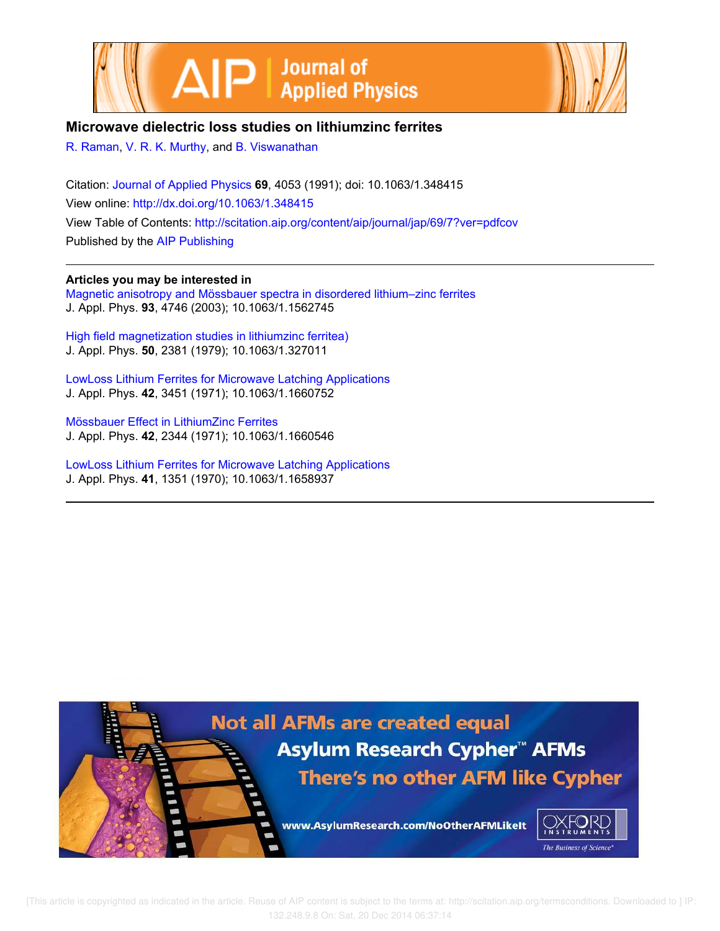



# **Microwave dielectric loss studies on lithiumzinc ferrites**

R. Raman, V. R. K. Murthy, and B. Viswanathan

Citation: Journal of Applied Physics **69**, 4053 (1991); doi: 10.1063/1.348415 View online: http://dx.doi.org/10.1063/1.348415 View Table of Contents: http://scitation.aip.org/content/aip/journal/jap/69/7?ver=pdfcov Published by the AIP Publishing

**Articles you may be interested in**

Magnetic anisotropy and Mössbauer spectra in disordered lithium–zinc ferrites J. Appl. Phys. **93**, 4746 (2003); 10.1063/1.1562745

High field magnetization studies in lithiumzinc ferritea) J. Appl. Phys. **50**, 2381 (1979); 10.1063/1.327011

LowLoss Lithium Ferrites for Microwave Latching Applications J. Appl. Phys. **42**, 3451 (1971); 10.1063/1.1660752

Mössbauer Effect in LithiumZinc Ferrites J. Appl. Phys. **42**, 2344 (1971); 10.1063/1.1660546

LowLoss Lithium Ferrites for Microwave Latching Applications J. Appl. Phys. **41**, 1351 (1970); 10.1063/1.1658937

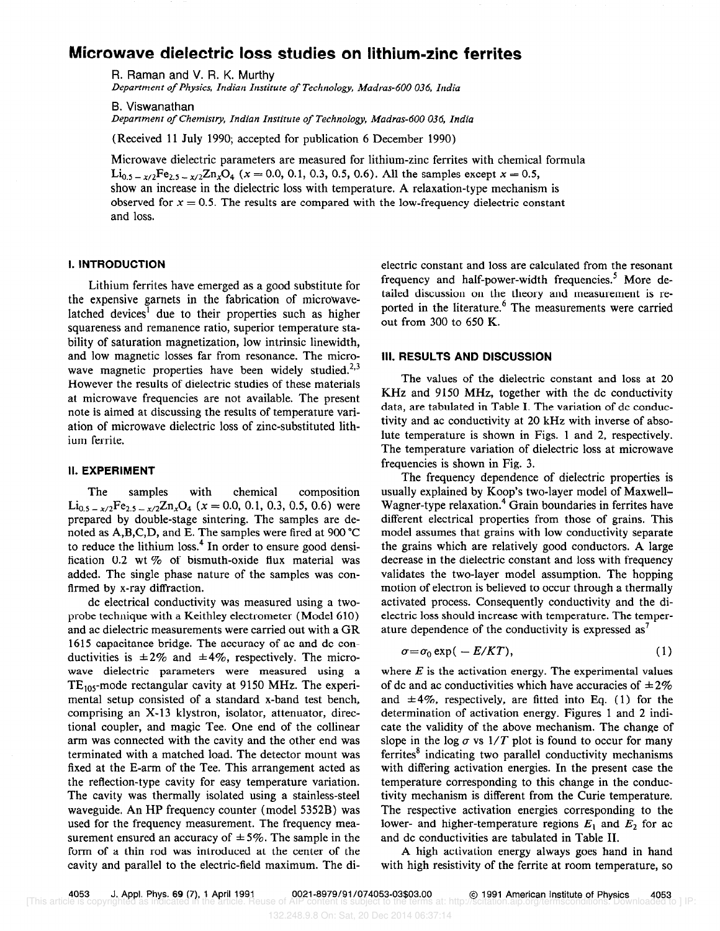## Microwave dielectric loss studies on lithium-zinc ferrites

R. Raman and V. R. K. Murthy Department of Physics, Indian Institute of Technology, Madras-600 036, India

B. Viswanathan Department of Chemistry, Indian Institute of Technology, Madras-600 036, India

(Received 11 July 1990; accepted for publication 6 December 1990)

Microwave dielectric parameters are measured for lithium-zinc ferrites with chemical formula  $\text{Li}_{0.5-x/2}\text{Fe}_{2.5-x/2}\text{Zn}_x\text{O}_4$  (x = 0.0, 0.1, 0.3, 0.5, 0.6). All the samples except x = 0.5, show an increase in the dielectric loss with temperature. A relaxation-type mechanism is observed for  $x = 0.5$ . The results are compared with the low-frequency dielectric constant and loss.

## I. INTRODUCTION

Lithium ferrites have emerged as a good substitute for the expensive garnets in the fabrication of microwavelatched devices' due to their properties such as higher squareness and remanence ratio, superior temperature stability of saturation magnetization, low intrinsic linewidth, and low magnetic losses far from resonance. The microwave magnetic properties have been widely studied.<sup>2,3</sup> However the results of dielectric studies of these materials at microwave frequencies are not available. The present note is aimed at discussing the results of temperature variation of microwave dielectric loss of zinc-substituted lithium ferrite.

## II. EXPERIMENT

The samples with chemical composition  $Li_{0.5-x/2}Fe_{2.5-x/2}Zn_xO_4$  ( $x = 0.0, 0.1, 0.3, 0.5, 0.6$ ) were prepared by double-stage sintering. The samples are denoted as A,B,C,D, and E. The samples were fired at 900 "C to reduce the lithium loss.<sup>4</sup> In order to ensure good densification 0.2 wt % of bismuth-oxide flux material was added. The single phase nature of the samples was confirmed by x-ray diffraction.

dc electrical conductivity was measured using a twoprobe technique with a Keithley electrometer (Model 610) and ac dielectric measurements were carried out with a GR 1615 capacitance bridge. The accuracy of ac and dc conductivities is  $\pm 2\%$  and  $\pm 4\%$ , respectively. The microwave dielectric parameters were measured using a  $TE_{105}$ -mode rectangular cavity at 9150 MHz. The experimental setup consisted of a standard x-band test bench, comprising an X-13 klystron, isolator, attenuator, directional coupler, and magic Tee. One end of the collinear arm was connected with the cavity and the other end was terminated with a matched load. The detector mount was fixed at the E-arm of the Tee. This arrangement acted as the reflection-type cavity for easy temperature variation. The cavity was thermally isolated using a stainless-steel waveguide. An HP frequency counter (model 5352B) was used for the frequency measurement. The frequency measurement ensured an accuracy of  $\pm$  5%. The sample in the form of a thin rod was introduced at the center of the cavity and parallel to the electric-field maximum. The dielectric constant and loss are calculated from the resonant frequency and half-power-width frequencies.' More detailed discussion on the theory and measurement is reported in the literature.<sup>6</sup> The measurements were carried out from 300 to 650 K.

#### III. RESULTS AND DISCUSSION

The values of the dielectric constant and loss at 20 KHz and 9150 MHz, together with the dc conductivity data, are tabulated in Table I. The variation of dc conductivity and ac conductivity at 20 kHz with inverse of absolute temperature is shown in Figs. 1 and 2, respectively. The temperature variation of dielectric loss at microwave frequencies is shown in Fig. 3.

The frequency dependence of dielectric properties is usually explained by Koop's two-layer model of Maxwell-Wagner-type relaxation.<sup>4</sup> Grain boundaries in ferrites have different electrical properties from those of grains. This model assumes that grains with low conductivity separate the grains which are relatively good conductors. A large decrease in the dielectric constant and loss with frequency validates the two-layer model assumption. The hopping motion of electron is believed to occur through a thermally activated process. Consequently conductivity and the dielectric loss should increase with temperature. The temperature dependence of the conductivity is expressed as'

$$
\sigma = \sigma_0 \exp(-E/KT), \tag{1}
$$

where  $E$  is the activation energy. The experimental values of dc and ac conductivities which have accuracies of  $\pm 2\%$ and  $\pm 4\%$ , respectively, are fitted into Eq. (1) for the determination of activation energy. Figures 1 and 2 indicate the validity of the above mechanism. The change of slope in the log  $\sigma$  vs 1/T plot is found to occur for many  $f$ errites $\delta$  indicating two parallel conductivity mechanisms with differing activation energies. In the present case the temperature corresponding to this change in the conductivity mechanism is different from the Curie temperature. The respective activation energies corresponding to the lower- and higher-temperature regions  $E_1$  and  $E_2$  for ac and dc conductivities are tabulated in Table II.

A high activation energy always goes hand in hand with high resistivity of the ferrite at room temperature, so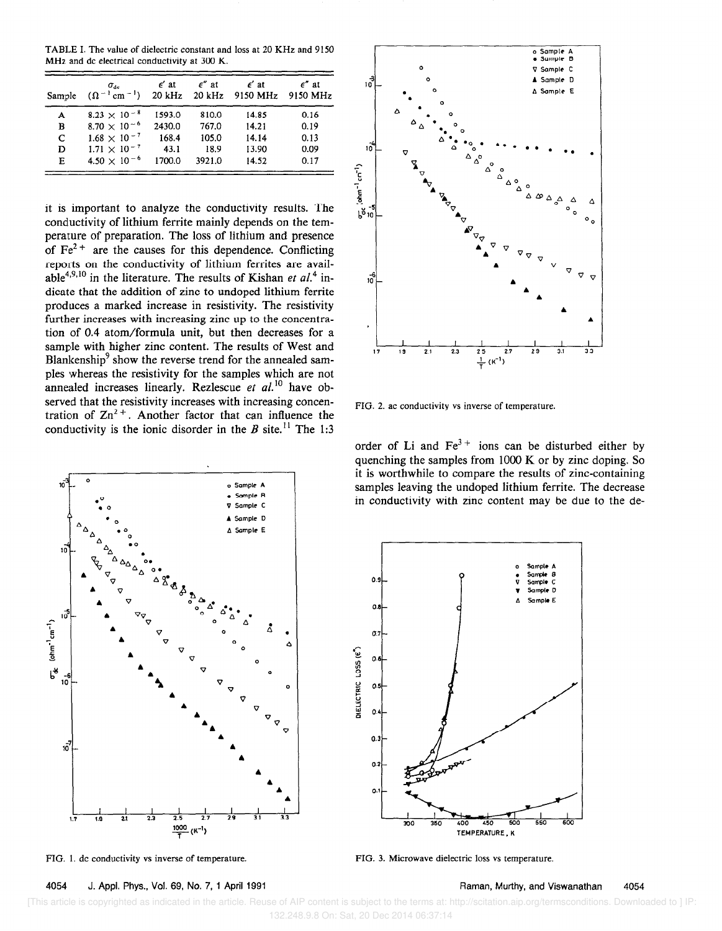TABLE I. The value of dielectric constant and loss at 20 KHz and 9150 MHz and dc electrical conductivity at 300 K.

| Sample | $\sigma_{\rm de}$<br>$(\Omega^{-1}$ cm <sup>-1</sup> ) | $\epsilon'$ at<br>$20$ kHz | $\epsilon$ " at<br>$20$ kHz | $\epsilon'$ at<br>9150 MHz | $\epsilon$ " at<br>9150 MHz |
|--------|--------------------------------------------------------|----------------------------|-----------------------------|----------------------------|-----------------------------|
| A      | $8.23 \times 10^{-8}$                                  | 1593.0                     | 810.0                       | 14.85                      | 0.16                        |
| в      | 8.70 $\times$ 10 <sup>-6</sup>                         | 2430.0                     | 767.0                       | 14.21                      | 0.19                        |
| C      | $1.68 \times 10^{-7}$                                  | 168.4                      | 105.0                       | 14.14                      | 0.13                        |
| D      | $1.71 \times 10^{-7}$                                  | 43.1                       | 18.9                        | 13.90                      | 0.09                        |
| Е      | $4.50 \times 10^{-6}$                                  | 1700.0                     | 3921.0                      | 14.52                      | 0.17                        |

it is important to analyze the conductivity results. The conductivity of lithium ferrite mainly depends on the temperature of preparation. The loss of lithium and presence of  $\text{Fe}^{2+}$  are the causes for this dependence. Conflicting reports on the conductivity of lithium ferrites are available<sup>4,9,10</sup> in the literature. The results of Kishan et  $al$ .<sup>4</sup> indicate that the addition of zinc to undoped lithium ferrite produces a marked increase in resistivity. The resistivity further increases with increasing zinc up to the concentration of 0.4 atom/formula unit, but then decreases for a sample with higher zinc content. The results of West and Blankenship<sup>9</sup> show the reverse trend for the annealed samples whereas the resistivity for the samples which are not annealed increases linearly. Rezlescue et al.<sup>10</sup> have observed that the resistivity increases with increasing concentration of  $\text{Zn}^{2+}$ . Another factor that can influence the conductivity is the ionic disorder in the B site.<sup>11</sup> The 1:3



FIG. 1. dc conductivity vs inverse of temperature.

4054

Sample V Sample C A Sample D 10 A Sample E 10  $(\text{ohm}^{-1} \text{cm}^{-1})$ ្រី 10  $10^{6}$  $17$  $3.1$ 19  $(K^{-1})$ 

FIG. 2. ac conductivity vs inverse of temperature.

order of Li and  $Fe^{3+}$  ions can be disturbed either by quenching the samples from 1000 K or by zinc doping. So it is worthwhile to compare the results of zinc-containing samples leaving the undoped lithium ferrite. The decrease in conductivity with zinc content may be due to the de-



FIG. 3. Microwave dielectric loss vs temperature.